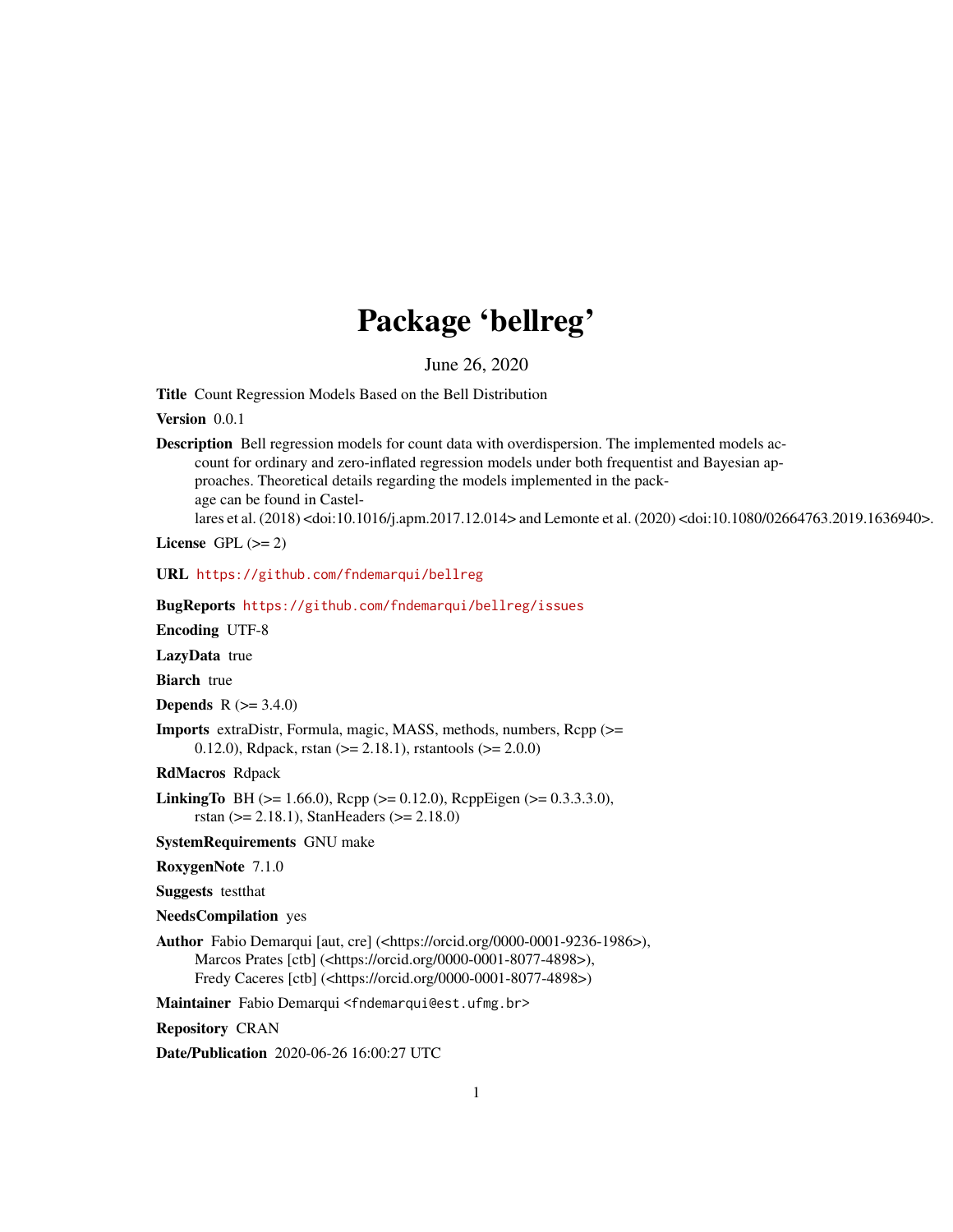# Package 'bellreg'

June 26, 2020

Title Count Regression Models Based on the Bell Distribution

Version 0.0.1

Description Bell regression models for count data with overdispersion. The implemented models account for ordinary and zero-inflated regression models under both frequentist and Bayesian approaches. Theoretical details regarding the models implemented in the package can be found in Castellares et al. (2018) <doi:10.1016/j.apm.2017.12.014> and Lemonte et al. (2020) <doi:10.1080/02664763.2019.1636940>.

License GPL  $(>= 2)$ 

URL <https://github.com/fndemarqui/bellreg>

BugReports <https://github.com/fndemarqui/bellreg/issues>

Encoding UTF-8

LazyData true

**Biarch** true

**Depends** R  $(>= 3.4.0)$ 

Imports extraDistr, Formula, magic, MASS, methods, numbers, Rcpp (>= 0.12.0), Rdpack, rstan (>= 2.18.1), rstantools (>= 2.0.0)

RdMacros Rdpack

**LinkingTo** BH ( $>= 1.66.0$ ), Rcpp ( $>= 0.12.0$ ), RcppEigen ( $>= 0.3.3.3.0$ ), rstan (>= 2.18.1), StanHeaders (>= 2.18.0)

SystemRequirements GNU make

RoxygenNote 7.1.0

Suggests testthat

NeedsCompilation yes

Author Fabio Demarqui [aut, cre] (<https://orcid.org/0000-0001-9236-1986>), Marcos Prates [ctb] (<https://orcid.org/0000-0001-8077-4898>), Fredy Caceres [ctb] (<https://orcid.org/0000-0001-8077-4898>)

Maintainer Fabio Demarqui <fndemarqui@est.ufmg.br>

Repository CRAN

Date/Publication 2020-06-26 16:00:27 UTC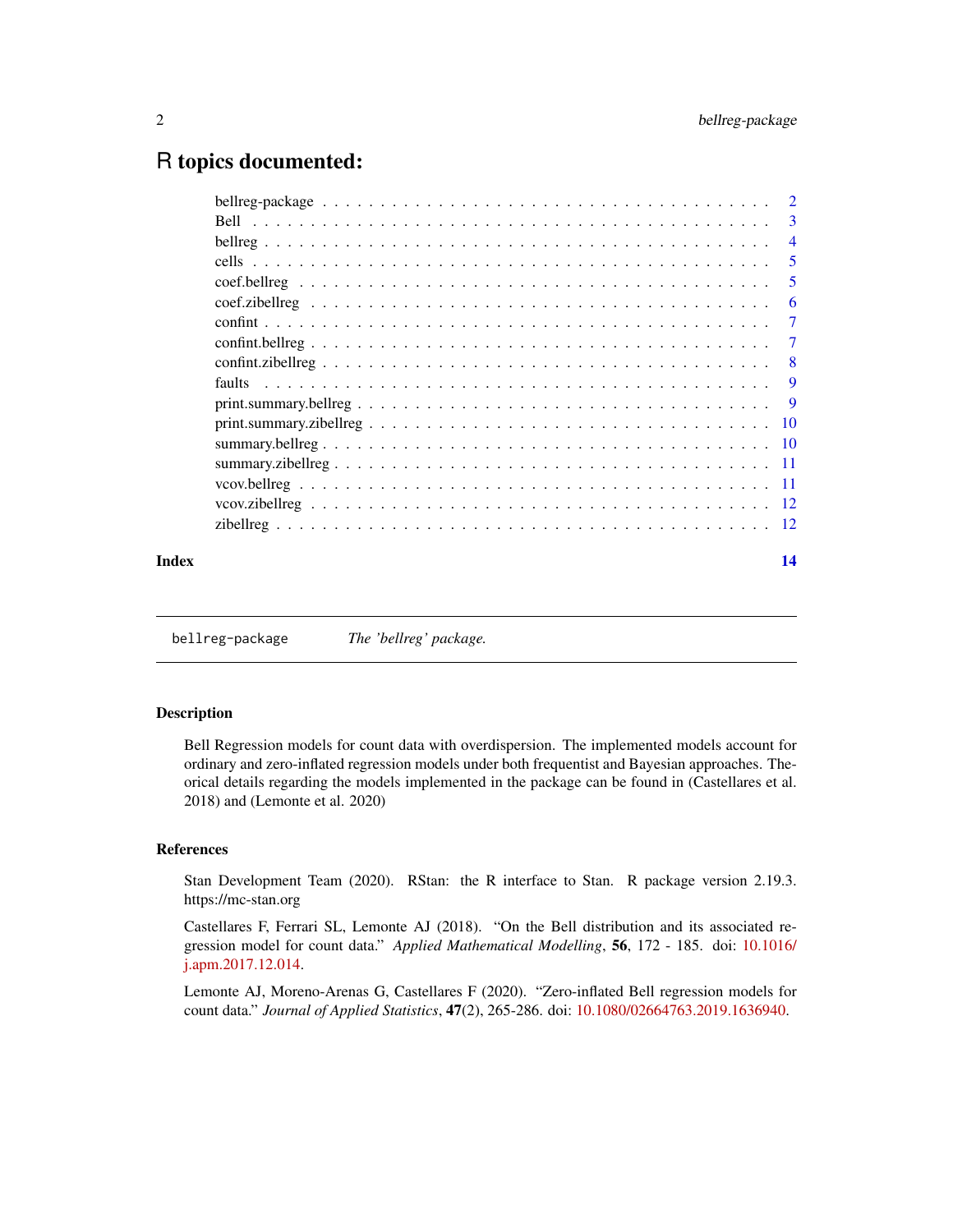# <span id="page-1-0"></span>R topics documented:

|       |        | $\overline{5}$ |
|-------|--------|----------------|
|       |        | $\overline{5}$ |
|       |        | -6             |
|       |        |                |
|       |        |                |
|       |        |                |
|       | faults |                |
|       |        |                |
|       |        |                |
|       |        |                |
|       |        |                |
|       |        |                |
|       |        |                |
|       |        |                |
| Index |        | 14             |

bellreg-package *The 'bellreg' package.*

#### Description

Bell Regression models for count data with overdispersion. The implemented models account for ordinary and zero-inflated regression models under both frequentist and Bayesian approaches. Theorical details regarding the models implemented in the package can be found in (Castellares et al. 2018) and (Lemonte et al. 2020)

#### References

Stan Development Team (2020). RStan: the R interface to Stan. R package version 2.19.3. https://mc-stan.org

Castellares F, Ferrari SL, Lemonte AJ (2018). "On the Bell distribution and its associated regression model for count data." *Applied Mathematical Modelling*, 56, 172 - 185. doi: [10.1016/](https://doi.org/10.1016/j.apm.2017.12.014) [j.apm.2017.12.014.](https://doi.org/10.1016/j.apm.2017.12.014)

Lemonte AJ, Moreno-Arenas G, Castellares F (2020). "Zero-inflated Bell regression models for count data." *Journal of Applied Statistics*, 47(2), 265-286. doi: [10.1080/02664763.2019.1636940.](https://doi.org/10.1080/02664763.2019.1636940)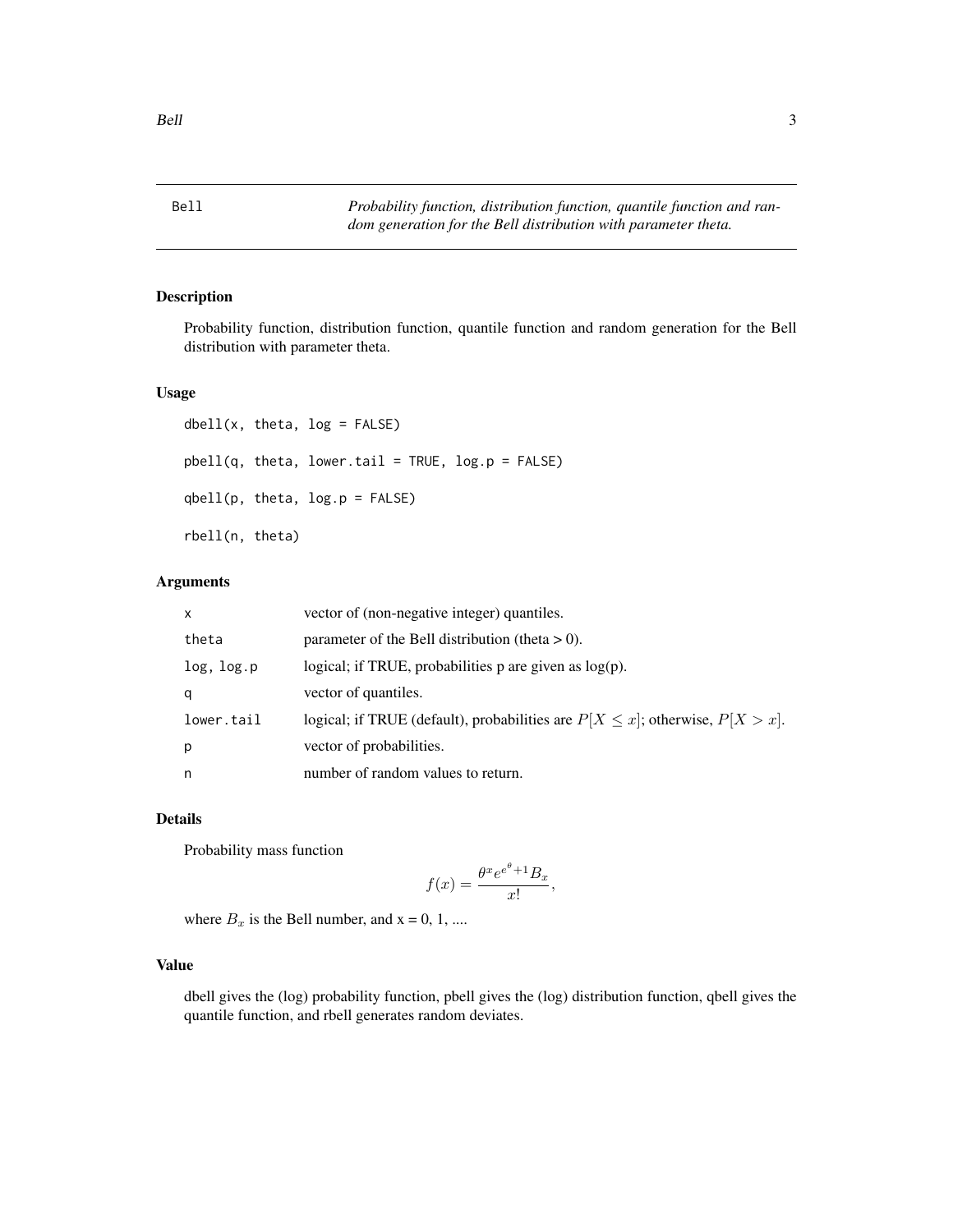<span id="page-2-0"></span>

Probability function, distribution function, quantile function and random generation for the Bell distribution with parameter theta.

# Usage

```
dbell(x, theta, log = FALSE)
pbell(q, theta, lower.tail = TRUE, log.p = FALSE)qbell(p, theta, log.p = FALSE)rbell(n, theta)
```
# Arguments

| $\mathsf{x}$ | vector of (non-negative integer) quantiles.                                           |
|--------------|---------------------------------------------------------------------------------------|
| theta        | parameter of the Bell distribution (theta $> 0$ ).                                    |
| log, log.p   | logical; if TRUE, probabilities $p$ are given as $log(p)$ .                           |
| q            | vector of quantiles.                                                                  |
| lower.tail   | logical; if TRUE (default), probabilities are $P[X \leq x]$ ; otherwise, $P[X > x]$ . |
| p            | vector of probabilities.                                                              |
| n            | number of random values to return.                                                    |

# Details

Probability mass function

$$
f(x) = \frac{\theta^x e^{e^{\theta} + 1} B_x}{x!},
$$

where  $B_x$  is the Bell number, and  $x = 0, 1, ...$ 

#### Value

dbell gives the (log) probability function, pbell gives the (log) distribution function, qbell gives the quantile function, and rbell generates random deviates.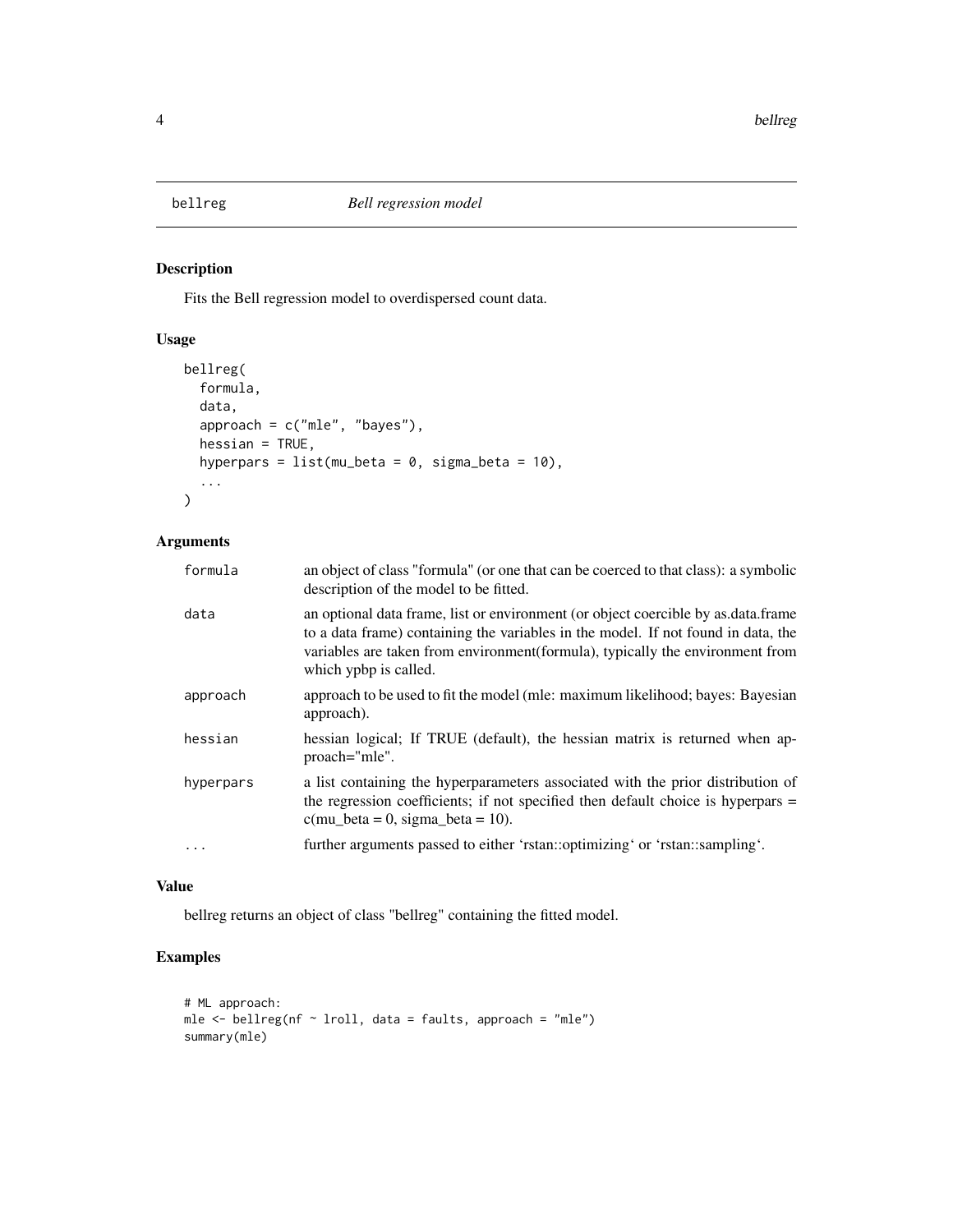<span id="page-3-0"></span>

Fits the Bell regression model to overdispersed count data.

# Usage

```
bellreg(
  formula,
  data,
  approach = c("mle", "bayes"),
  hessian = TRUE,
  hyperpars = list(mu_beta = 0, sigma_beta = 10),
  ...
\mathcal{L}
```
# Arguments

| formula   | an object of class "formula" (or one that can be coerced to that class): a symbolic<br>description of the model to be fitted.                                                                                                                                                     |
|-----------|-----------------------------------------------------------------------------------------------------------------------------------------------------------------------------------------------------------------------------------------------------------------------------------|
| data      | an optional data frame, list or environment (or object coercible by as data frame<br>to a data frame) containing the variables in the model. If not found in data, the<br>variables are taken from environment (formula), typically the environment from<br>which ypbp is called. |
| approach  | approach to be used to fit the model (mle: maximum likelihood; bayes: Bayesian<br>approach).                                                                                                                                                                                      |
| hessian   | hessian logical; If TRUE (default), the hessian matrix is returned when ap-<br>proach="mle".                                                                                                                                                                                      |
| hyperpars | a list containing the hyperparameters associated with the prior distribution of<br>the regression coefficients; if not specified then default choice is hyperpars =<br>$c$ (mu_beta = 0, sigma_beta = 10).                                                                        |
|           | further arguments passed to either 'rstan::optimizing' or 'rstan::sampling'.                                                                                                                                                                                                      |
|           |                                                                                                                                                                                                                                                                                   |

#### Value

bellreg returns an object of class "bellreg" containing the fitted model.

```
# ML approach:
mle \le bellreg(nf \sim lroll, data = faults, approach = "mle")
summary(mle)
```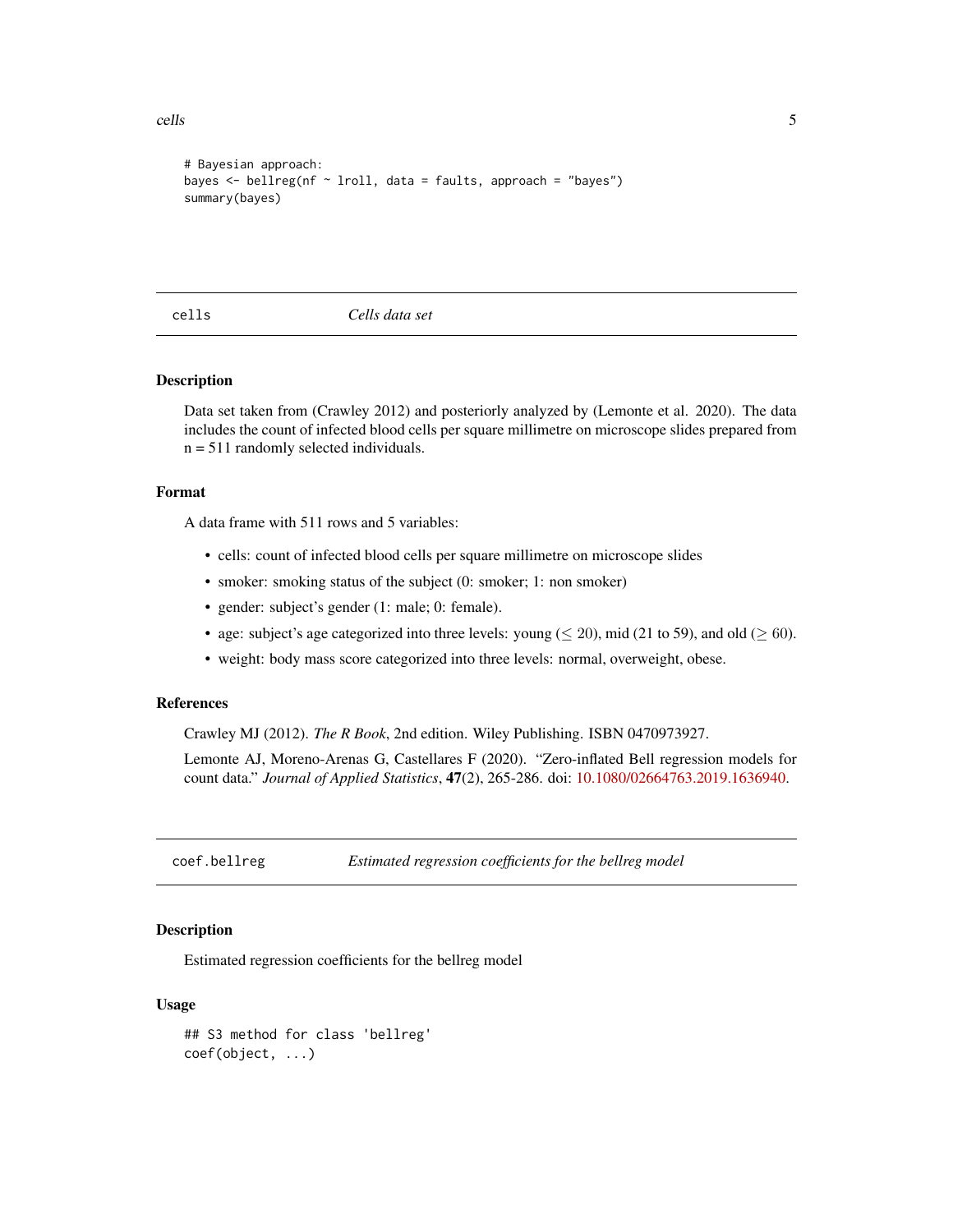<span id="page-4-0"></span>cells 5

```
# Bayesian approach:
bayes \leq bellreg(nf \sim lroll, data = faults, approach = "bayes")
summary(bayes)
```
cells *Cells data set*

## Description

Data set taken from (Crawley 2012) and posteriorly analyzed by (Lemonte et al. 2020). The data includes the count of infected blood cells per square millimetre on microscope slides prepared from  $n = 511$  randomly selected individuals.

#### Format

A data frame with 511 rows and 5 variables:

- cells: count of infected blood cells per square millimetre on microscope slides
- smoker: smoking status of the subject (0: smoker; 1: non smoker)
- gender: subject's gender (1: male; 0: female).
- age: subject's age categorized into three levels: young ( $\leq 20$ ), mid (21 to 59), and old ( $\geq 60$ ).
- weight: body mass score categorized into three levels: normal, overweight, obese.

# References

Crawley MJ (2012). *The R Book*, 2nd edition. Wiley Publishing. ISBN 0470973927.

Lemonte AJ, Moreno-Arenas G, Castellares F (2020). "Zero-inflated Bell regression models for count data." *Journal of Applied Statistics*, 47(2), 265-286. doi: [10.1080/02664763.2019.1636940.](https://doi.org/10.1080/02664763.2019.1636940)

coef.bellreg *Estimated regression coefficients for the bellreg model*

#### Description

Estimated regression coefficients for the bellreg model

#### Usage

```
## S3 method for class 'bellreg'
coef(object, ...)
```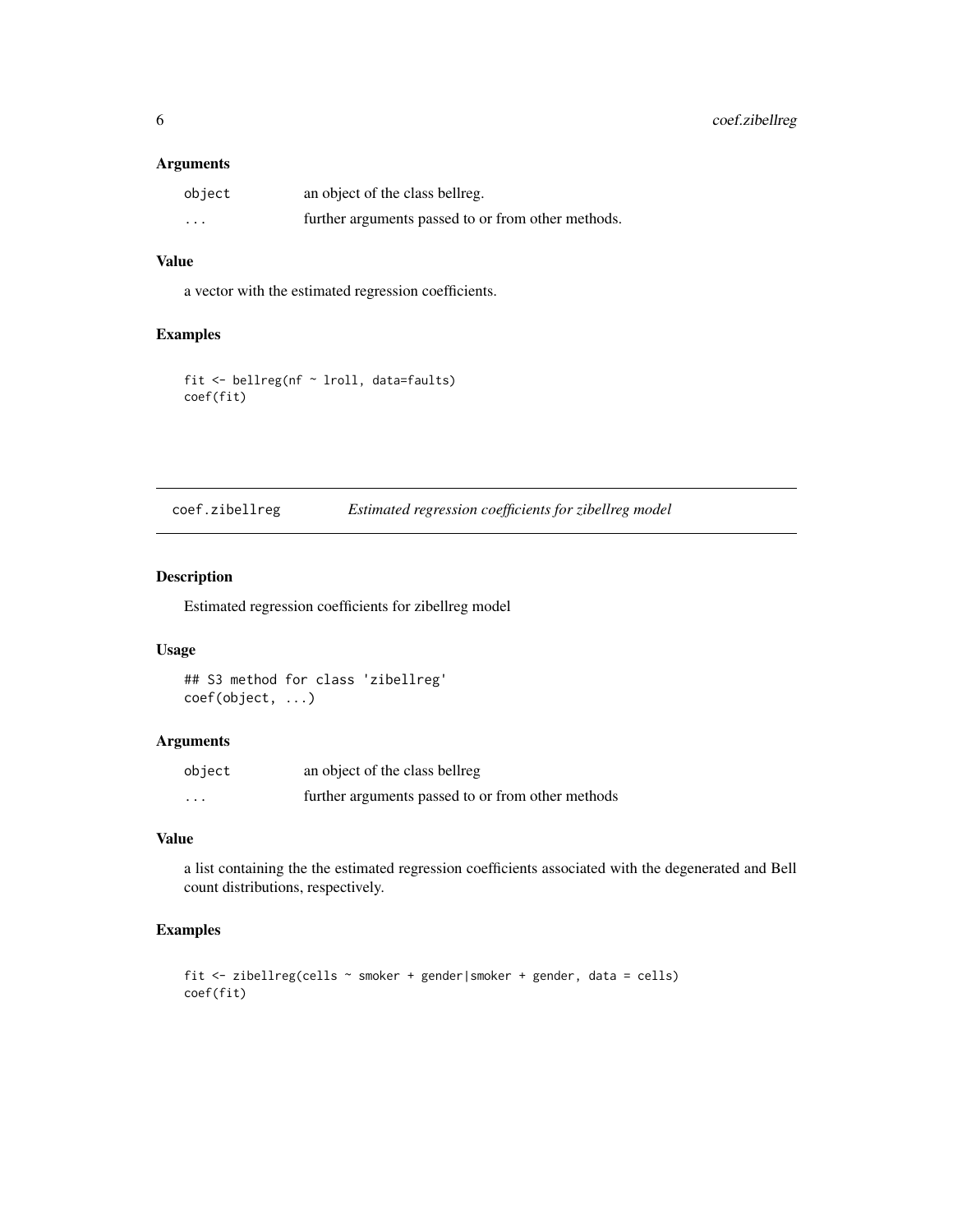#### <span id="page-5-0"></span>Arguments

| object                  | an object of the class bellreg.                    |
|-------------------------|----------------------------------------------------|
| $\cdot$ $\cdot$ $\cdot$ | further arguments passed to or from other methods. |

# Value

a vector with the estimated regression coefficients.

# Examples

```
fit <- bellreg(nf ~ lroll, data=faults)
coef(fit)
```
# coef.zibellreg *Estimated regression coefficients for zibellreg model*

#### Description

Estimated regression coefficients for zibellreg model

# Usage

## S3 method for class 'zibellreg' coef(object, ...)

# Arguments

| object                  | an object of the class bellreg                    |
|-------------------------|---------------------------------------------------|
| $\cdot$ $\cdot$ $\cdot$ | further arguments passed to or from other methods |

# Value

a list containing the the estimated regression coefficients associated with the degenerated and Bell count distributions, respectively.

```
fit <- zibellreg(cells ~ smoker + gender|smoker + gender, data = cells)
coef(fit)
```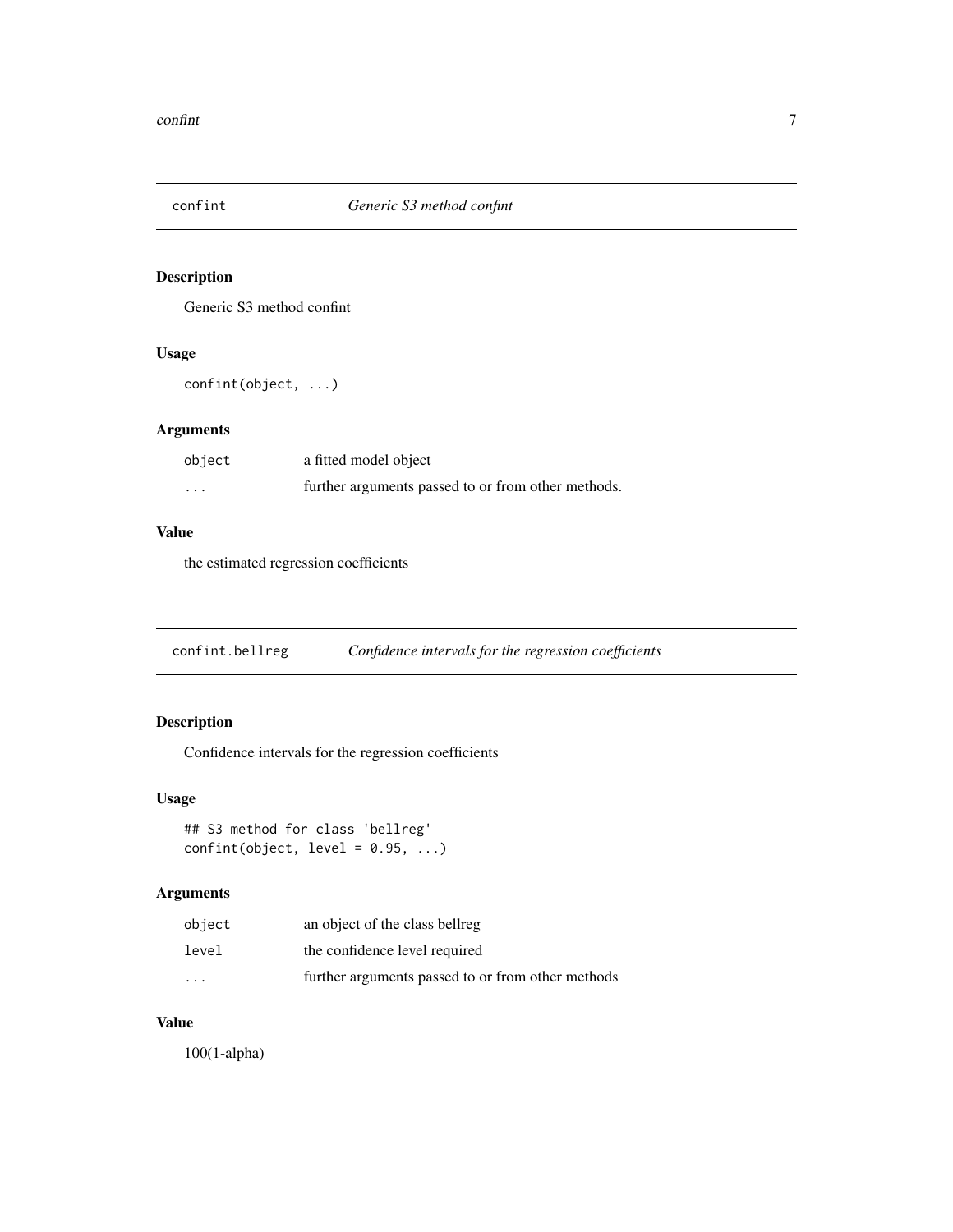<span id="page-6-0"></span>

Generic S3 method confint

# Usage

confint(object, ...)

# Arguments

| object  | a fitted model object                              |
|---------|----------------------------------------------------|
| $\cdot$ | further arguments passed to or from other methods. |

# Value

the estimated regression coefficients

| confint.bellreg |  | Confidence intervals for the regression coefficients |
|-----------------|--|------------------------------------------------------|
|                 |  |                                                      |

# Description

Confidence intervals for the regression coefficients

# Usage

```
## S3 method for class 'bellreg'
confint(object, level = 0.95, ...)
```
# Arguments

| object                  | an object of the class bellreg                    |
|-------------------------|---------------------------------------------------|
| level                   | the confidence level required                     |
| $\cdot$ $\cdot$ $\cdot$ | further arguments passed to or from other methods |

# Value

100(1-alpha)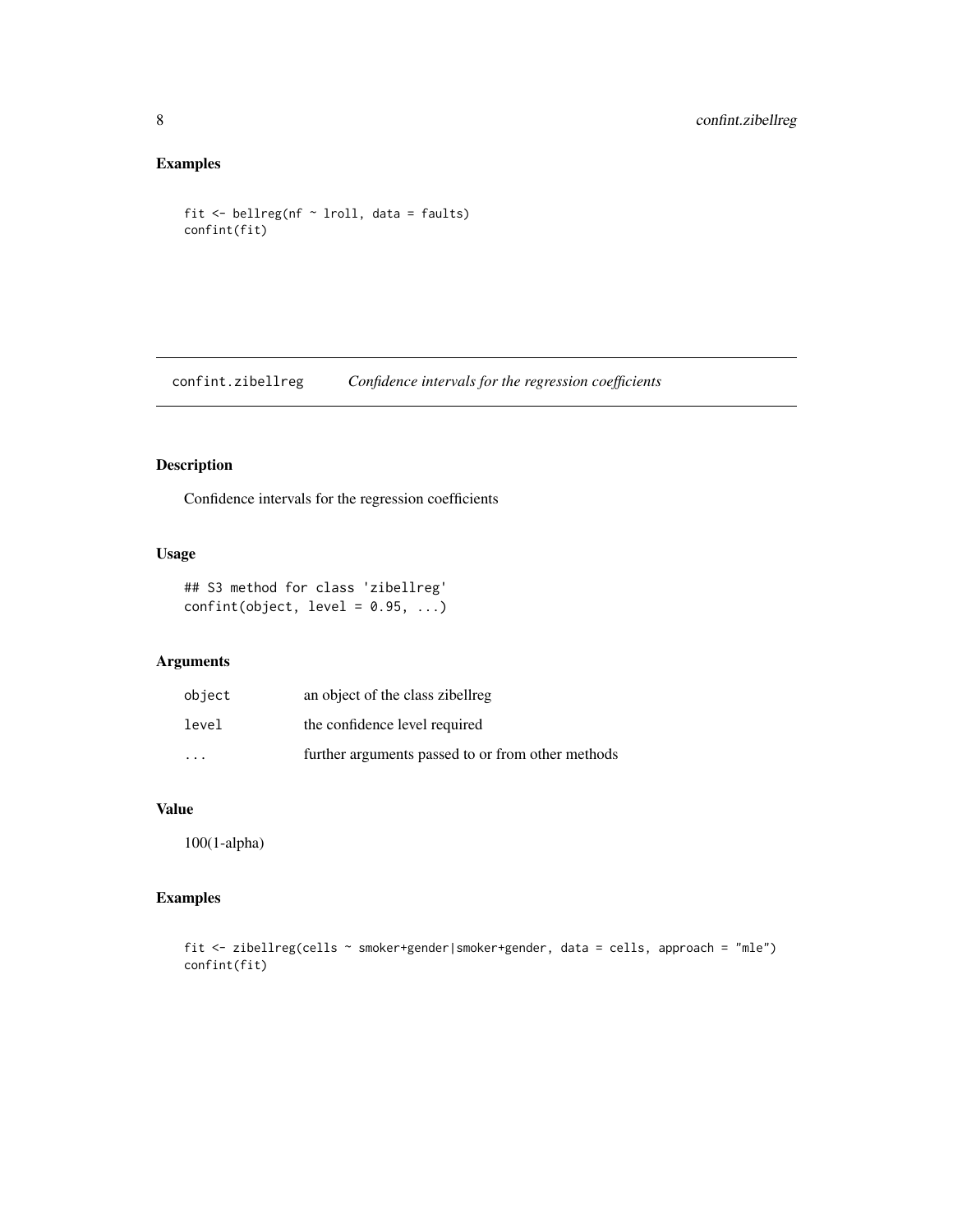# Examples

```
fit <- bellreg(nf ~ lroll, data = faults)
confint(fit)
```
confint.zibellreg *Confidence intervals for the regression coefficients*

# Description

Confidence intervals for the regression coefficients

# Usage

```
## S3 method for class 'zibellreg'
confint(object, level = 0.95, ...)
```
# Arguments

| object                  | an object of the class zibellreg                  |
|-------------------------|---------------------------------------------------|
| level                   | the confidence level required                     |
| $\cdot$ $\cdot$ $\cdot$ | further arguments passed to or from other methods |

# Value

100(1-alpha)

```
fit <- zibellreg(cells ~ smoker+gender|smoker+gender, data = cells, approach = "mle")
confint(fit)
```
<span id="page-7-0"></span>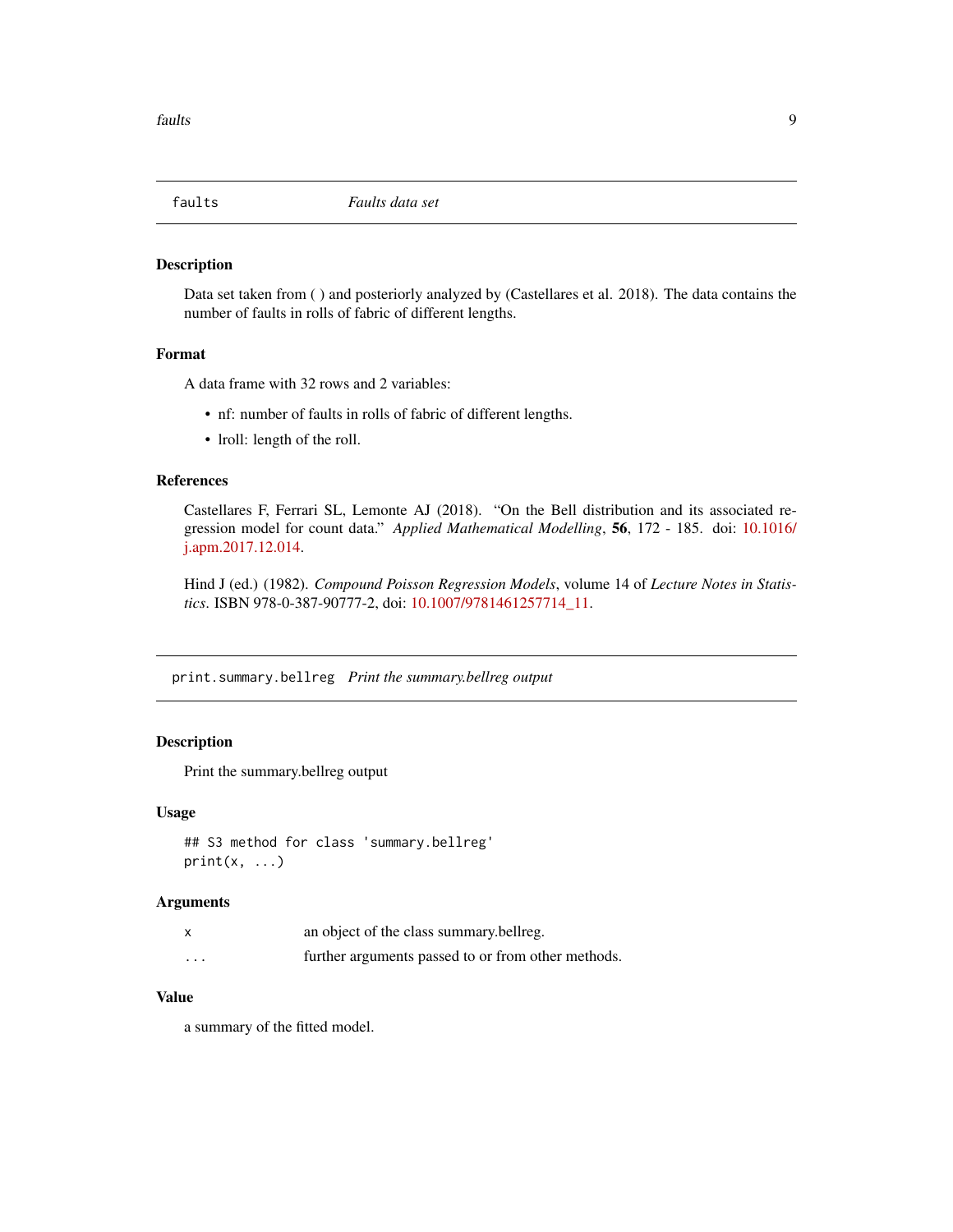<span id="page-8-0"></span>

Data set taken from ( ) and posteriorly analyzed by (Castellares et al. 2018). The data contains the number of faults in rolls of fabric of different lengths.

#### Format

A data frame with 32 rows and 2 variables:

- nf: number of faults in rolls of fabric of different lengths.
- Iroll: length of the roll.

# References

Castellares F, Ferrari SL, Lemonte AJ (2018). "On the Bell distribution and its associated regression model for count data." *Applied Mathematical Modelling*, 56, 172 - 185. doi: [10.1016/](https://doi.org/10.1016/j.apm.2017.12.014) [j.apm.2017.12.014.](https://doi.org/10.1016/j.apm.2017.12.014)

Hind J (ed.) (1982). *Compound Poisson Regression Models*, volume 14 of *Lecture Notes in Statistics*. ISBN 978-0-387-90777-2, doi: [10.1007/9781461257714\\_11.](https://doi.org/10.1007/978-1-4612-5771-4_11)

print.summary.bellreg *Print the summary.bellreg output*

# Description

Print the summary.bellreg output

#### Usage

```
## S3 method for class 'summary.bellreg'
print(x, \ldots)
```
#### Arguments

|                         | an object of the class summary.bellreg.            |
|-------------------------|----------------------------------------------------|
| $\cdot$ $\cdot$ $\cdot$ | further arguments passed to or from other methods. |

#### Value

a summary of the fitted model.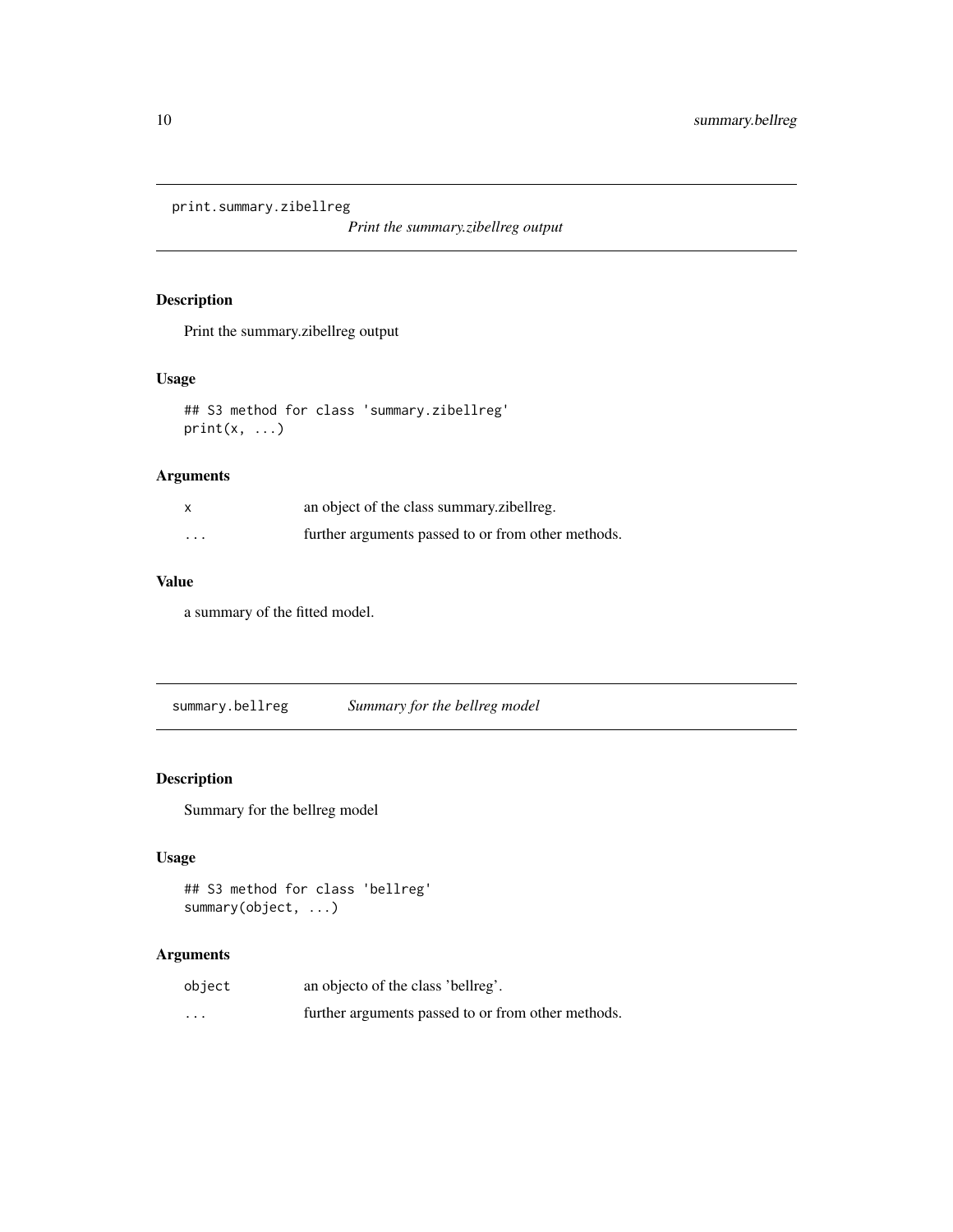<span id="page-9-0"></span>print.summary.zibellreg

*Print the summary.zibellreg output*

# Description

Print the summary.zibellreg output

# Usage

```
## S3 method for class 'summary.zibellreg'
print(x, \ldots)
```
# Arguments

| $\times$ | an object of the class summary.zibellreg.          |
|----------|----------------------------------------------------|
| $\cdots$ | further arguments passed to or from other methods. |

# Value

a summary of the fitted model.

summary.bellreg *Summary for the bellreg model*

# Description

Summary for the bellreg model

# Usage

```
## S3 method for class 'bellreg'
summary(object, ...)
```
# Arguments

| object                  | an objecto of the class 'bellreg'.                 |
|-------------------------|----------------------------------------------------|
| $\cdot$ $\cdot$ $\cdot$ | further arguments passed to or from other methods. |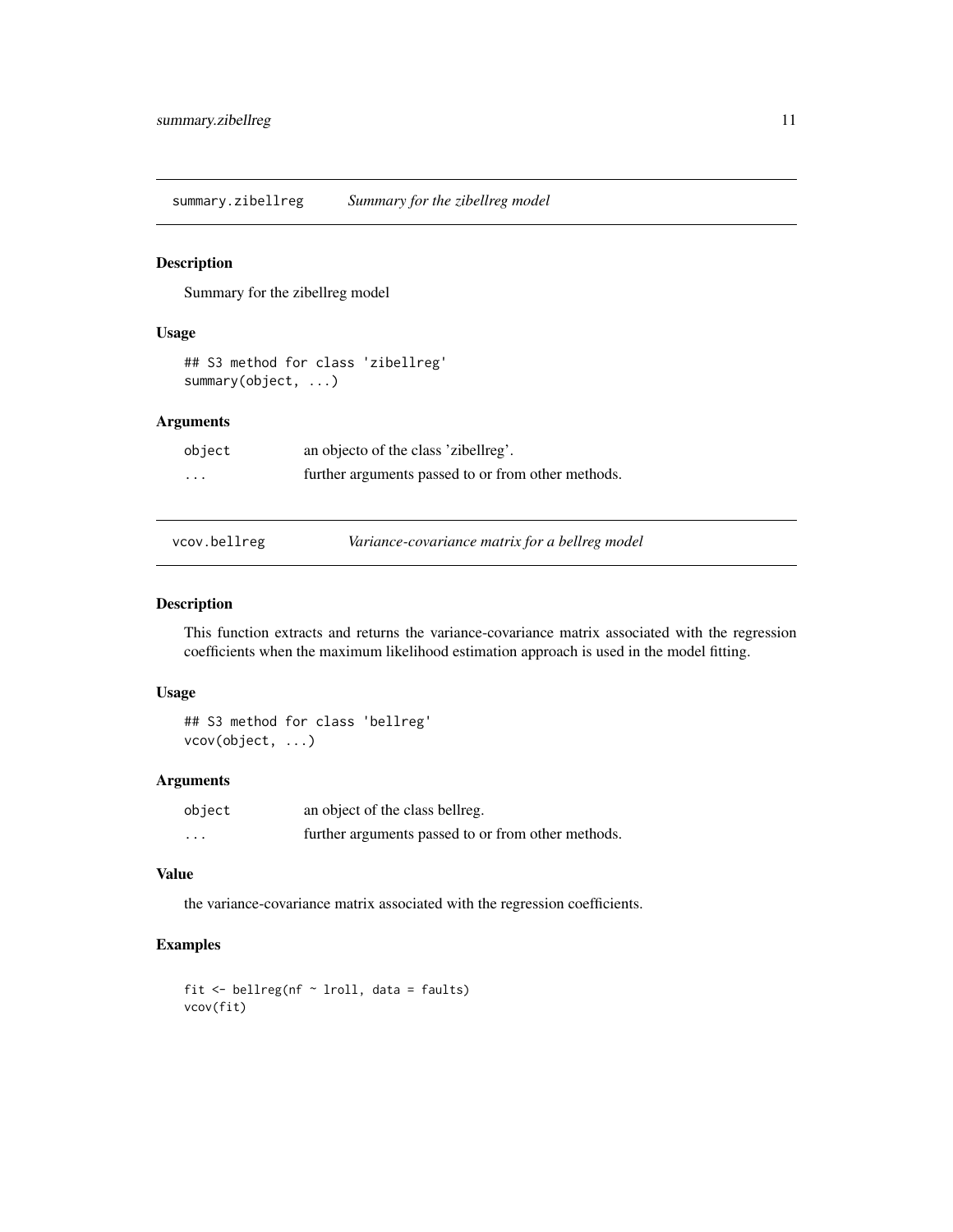<span id="page-10-0"></span>summary.zibellreg *Summary for the zibellreg model*

#### Description

Summary for the zibellreg model

# Usage

```
## S3 method for class 'zibellreg'
summary(object, ...)
```
# Arguments

| object   | an objecto of the class 'zibellreg'.               |
|----------|----------------------------------------------------|
| $\cdots$ | further arguments passed to or from other methods. |

| vcov.bellreg |  |
|--------------|--|
|              |  |

eg *Variance-covariance matrix for a bellreg model* 

#### Description

This function extracts and returns the variance-covariance matrix associated with the regression coefficients when the maximum likelihood estimation approach is used in the model fitting.

# Usage

```
## S3 method for class 'bellreg'
vcov(object, ...)
```
#### Arguments

| object | an object of the class bellreg.                    |
|--------|----------------------------------------------------|
| .      | further arguments passed to or from other methods. |

# Value

the variance-covariance matrix associated with the regression coefficients.

```
fit \le bellreg(nf \sim lroll, data = faults)
vcov(fit)
```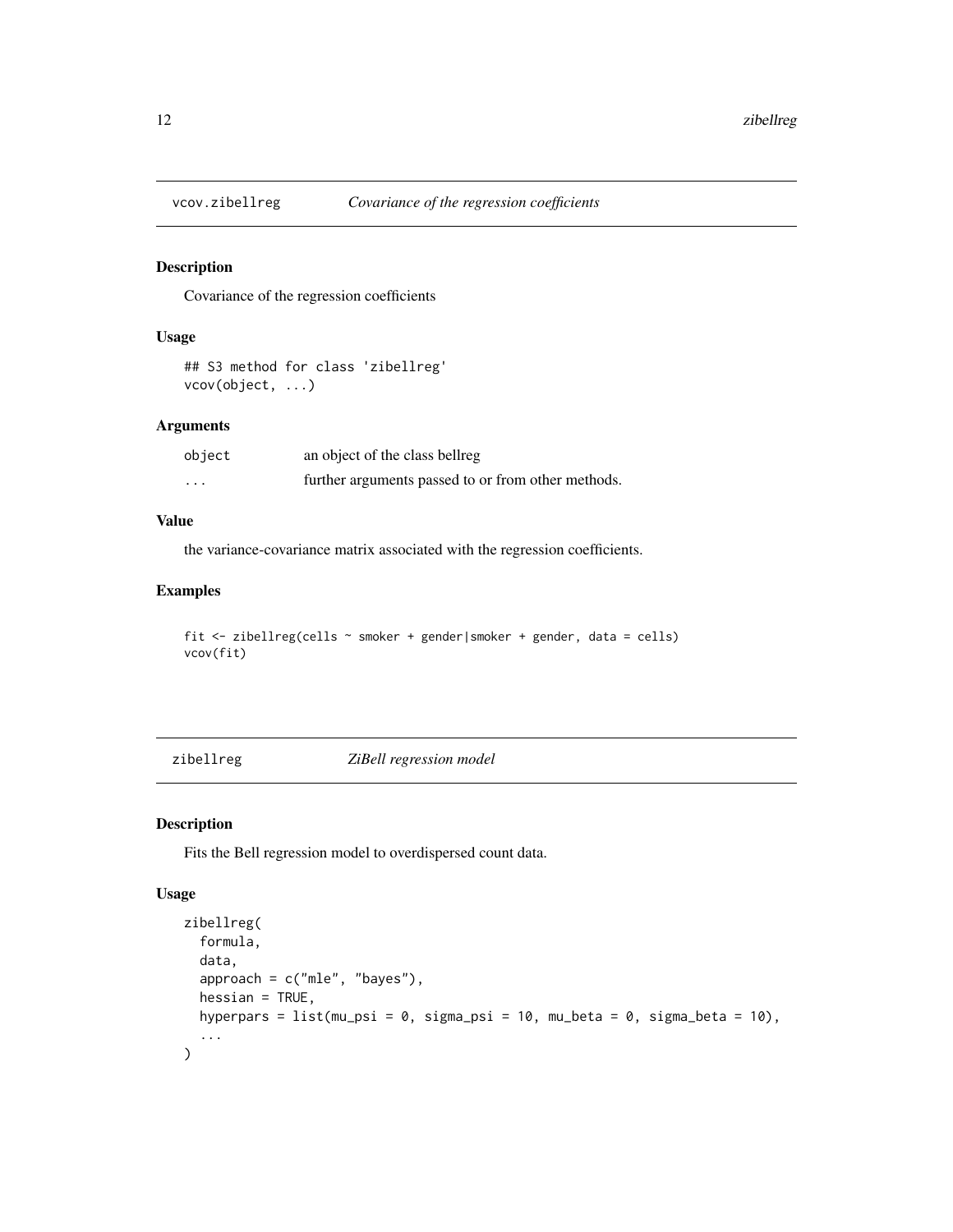<span id="page-11-0"></span>

Covariance of the regression coefficients

#### Usage

```
## S3 method for class 'zibellreg'
vcov(object, ...)
```
#### Arguments

| object                  | an object of the class bellreg                     |
|-------------------------|----------------------------------------------------|
| $\cdot$ $\cdot$ $\cdot$ | further arguments passed to or from other methods. |

# Value

the variance-covariance matrix associated with the regression coefficients.

# Examples

```
fit <- zibellreg(cells ~ smoker + gender|smoker + gender, data = cells)
vcov(fit)
```
zibellreg *ZiBell regression model*

# Description

Fits the Bell regression model to overdispersed count data.

# Usage

```
zibellreg(
  formula,
  data,
  approach = c("mle", "bayes"),
 hessian = TRUE,
 hyperpars = list(mu_psi = 0, sigma_psi = 10, mu_beta = 0, sigma_beta = 10),
  ...
\mathcal{L}
```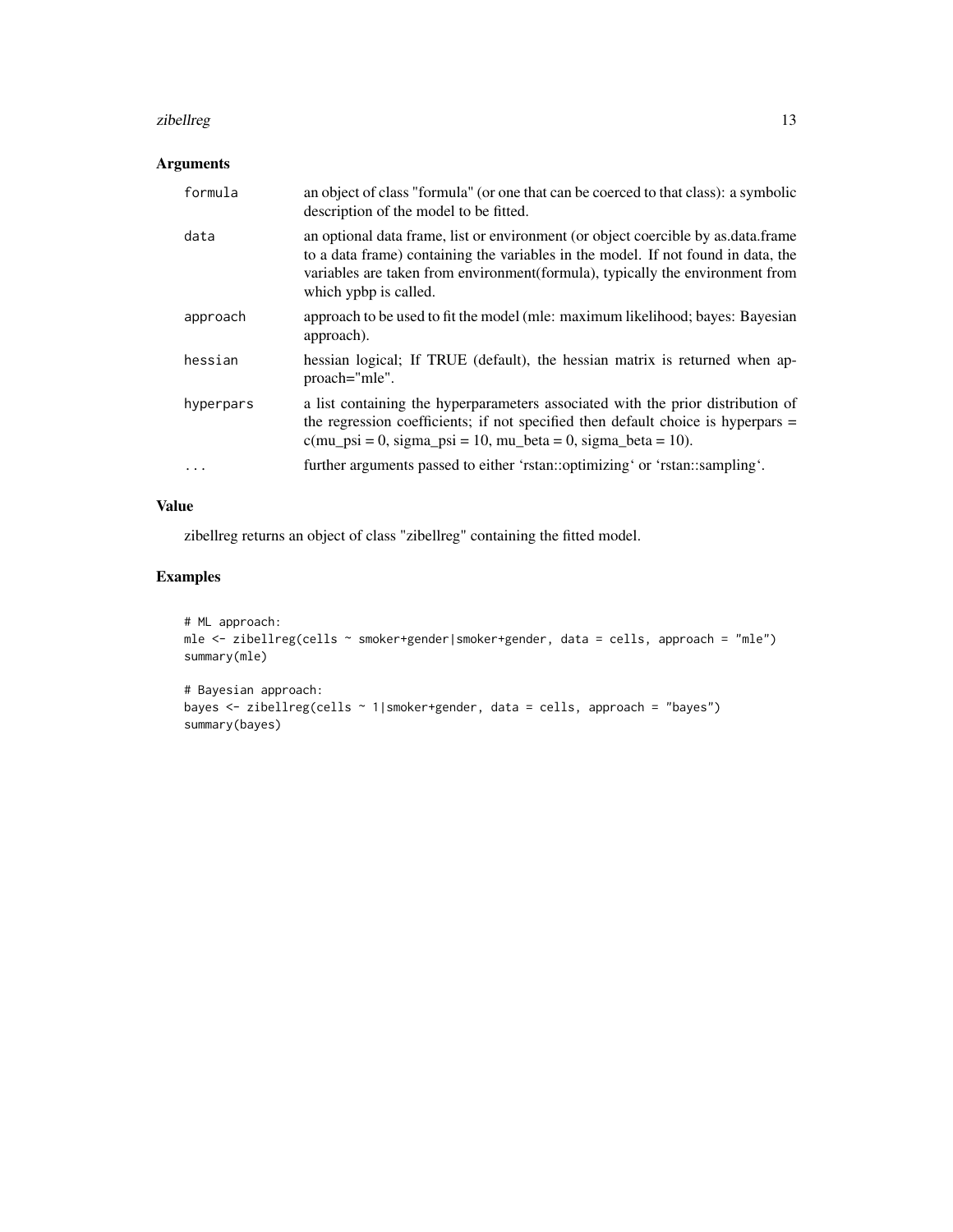#### zibellreg and the state of the state of the state of the state of the state of the state of the state of the state of the state of the state of the state of the state of the state of the state of the state of the state of

# Arguments

| formula   | an object of class "formula" (or one that can be coerced to that class): a symbolic<br>description of the model to be fitted.                                                                                                                                                    |
|-----------|----------------------------------------------------------------------------------------------------------------------------------------------------------------------------------------------------------------------------------------------------------------------------------|
| data      | an optional data frame, list or environment (or object coercible by as data frame<br>to a data frame) containing the variables in the model. If not found in data, the<br>variables are taken from environment(formula), typically the environment from<br>which ypbp is called. |
| approach  | approach to be used to fit the model (mle: maximum likelihood; bayes: Bayesian<br>approach).                                                                                                                                                                                     |
| hessian   | hessian logical; If TRUE (default), the hessian matrix is returned when ap-<br>proach="mle".                                                                                                                                                                                     |
| hyperpars | a list containing the hyperparameters associated with the prior distribution of<br>the regression coefficients; if not specified then default choice is hyperpars =<br>$c(mu_psi = 0, sigma_psi = 10, mu_beta = 0, sigma_beta = 10).$                                            |
| .         | further arguments passed to either 'rstan::optimizing' or 'rstan::sampling'.                                                                                                                                                                                                     |

# Value

zibellreg returns an object of class "zibellreg" containing the fitted model.

```
# ML approach:
mle <- zibellreg(cells ~ smoker+gender|smoker+gender, data = cells, approach = "mle")
summary(mle)
# Bayesian approach:
bayes <- zibellreg(cells ~ 1|smoker+gender, data = cells, approach = "bayes")
summary(bayes)
```